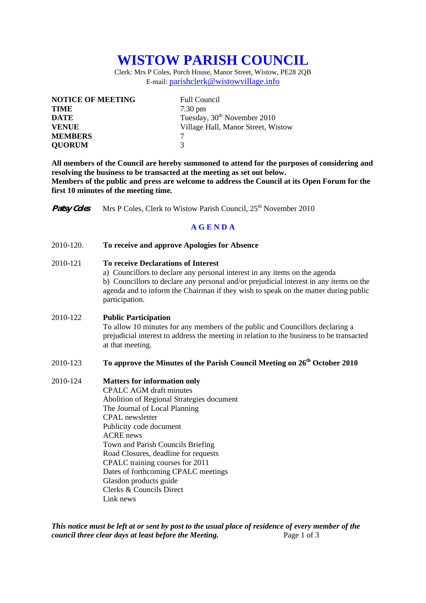# **WISTOW PARISH COUNCIL**

Clerk: Mrs P Coles, Porch House, Manor Street, Wistow, PE28 2QB E-mail: parishclerk@wistowvillage.info

| <b>NOTICE OF MEETING</b> | <b>Full Council</b>                     |
|--------------------------|-----------------------------------------|
| <b>TIME</b>              | $7.30 \text{ pm}$                       |
| <b>DATE</b>              | Tuesday, 30 <sup>th</sup> November 2010 |
| <b>VENUE</b>             | Village Hall, Manor Street, Wistow      |
| <b>MEMBERS</b>           |                                         |
| <b>QUORUM</b>            | 3                                       |

**All members of the Council are hereby summoned to attend for the purposes of considering and resolving the business to be transacted at the meeting as set out below. Members of the public and press are welcome to address the Council at its Open Forum for the first 10 minutes of the meeting time.** 

**Patsy Coles** Mrs P Coles, Clerk to Wistow Parish Council, 25<sup>th</sup> November 2010

## **A G E N D A**

#### 2010-120. **To receive and approve Apologies for Absence**

#### 2010-121 **To receive Declarations of Interest**

 a) Councillors to declare any personal interest in any items on the agenda b) Councillors to declare any personal and/or prejudicial interest in any items on the agenda and to inform the Chairman if they wish to speak on the matter during public participation.

### 2010-122 **Public Participation**

To allow 10 minutes for any members of the public and Councillors declaring a prejudicial interest to address the meeting in relation to the business to be transacted at that meeting.

# 2010-123 **To approve the Minutes of the Parish Council Meeting on 26th October 2010**

#### 2010-124 **Matters for information only**

CPALC AGM draft minutes Abolition of Regional Strategies document The Journal of Local Planning CPAL newsletter Publicity code document ACRE news Town and Parish Councils Briefing Road Closures, deadline for requests CPALC training courses for 2011 Dates of forthcoming CPALC meetings Glasdon products guide Clerks & Councils Direct Link news

*This notice must be left at or sent by post to the usual place of residence of every member of the council three clear days at least before the Meeting.* Page 1 of 3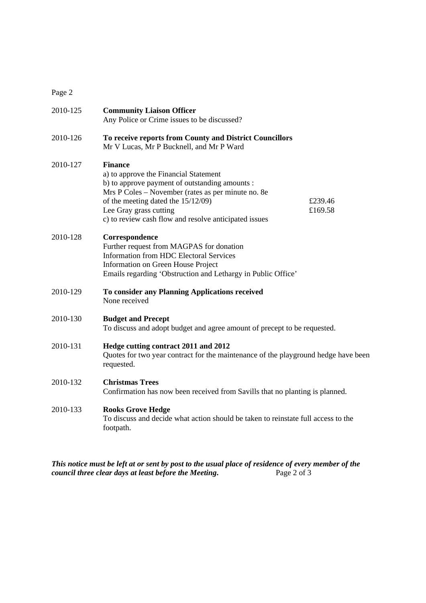Page 2

| 2010-125 | <b>Community Liaison Officer</b><br>Any Police or Crime issues to be discussed?                                                                                                                                                                                                                                 |
|----------|-----------------------------------------------------------------------------------------------------------------------------------------------------------------------------------------------------------------------------------------------------------------------------------------------------------------|
| 2010-126 | To receive reports from County and District Councillors<br>Mr V Lucas, Mr P Bucknell, and Mr P Ward                                                                                                                                                                                                             |
| 2010-127 | <b>Finance</b><br>a) to approve the Financial Statement<br>b) to approve payment of outstanding amounts :<br>Mrs P Coles – November (rates as per minute no. 8e)<br>of the meeting dated the 15/12/09)<br>£239.46<br>Lee Gray grass cutting<br>£169.58<br>c) to review cash flow and resolve anticipated issues |
| 2010-128 | Correspondence<br>Further request from MAGPAS for donation<br><b>Information from HDC Electoral Services</b><br>Information on Green House Project<br>Emails regarding 'Obstruction and Lethargy in Public Office'                                                                                              |
| 2010-129 | To consider any Planning Applications received<br>None received                                                                                                                                                                                                                                                 |
| 2010-130 | <b>Budget and Precept</b><br>To discuss and adopt budget and agree amount of precept to be requested.                                                                                                                                                                                                           |
| 2010-131 | Hedge cutting contract 2011 and 2012<br>Quotes for two year contract for the maintenance of the playground hedge have been<br>requested.                                                                                                                                                                        |
| 2010-132 | <b>Christmas Trees</b><br>Confirmation has now been received from Savills that no planting is planned.                                                                                                                                                                                                          |
| 2010-133 | <b>Rooks Grove Hedge</b><br>To discuss and decide what action should be taken to reinstate full access to the<br>footpath.                                                                                                                                                                                      |

*This notice must be left at or sent by post to the usual place of residence of every member of the council three clear days at least before the Meeting.* Page 2 of 3